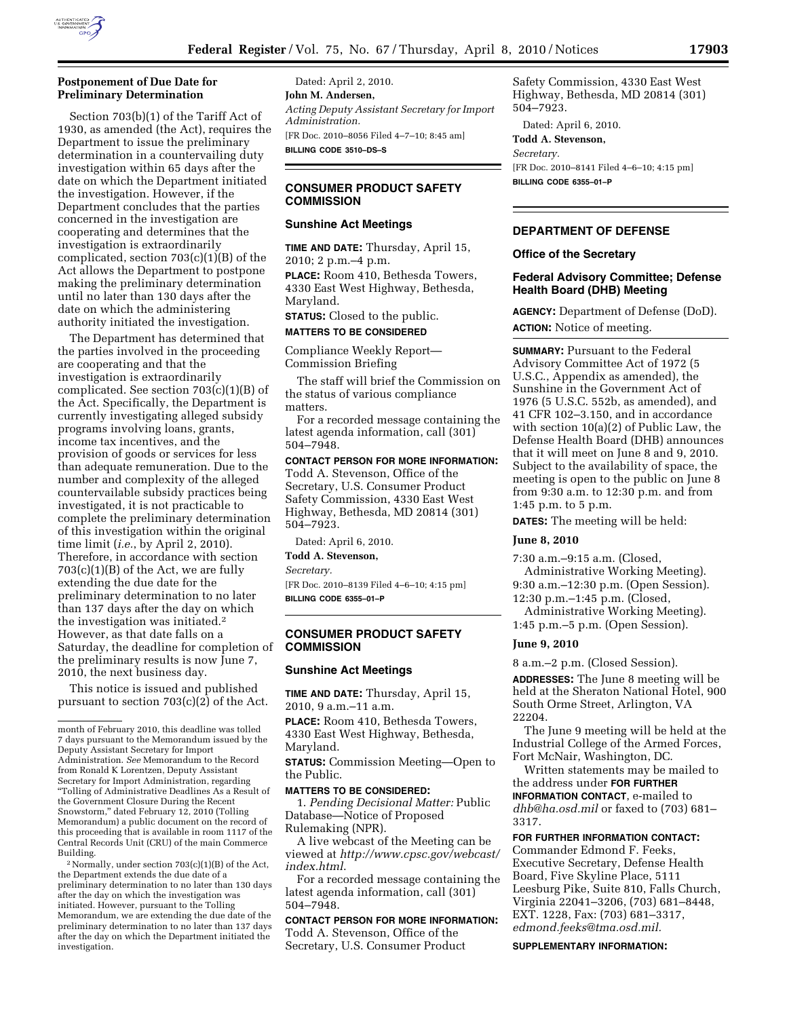

# **Postponement of Due Date for Preliminary Determination**

Section 703(b)(1) of the Tariff Act of 1930, as amended (the Act), requires the Department to issue the preliminary determination in a countervailing duty investigation within 65 days after the date on which the Department initiated the investigation. However, if the Department concludes that the parties concerned in the investigation are cooperating and determines that the investigation is extraordinarily complicated, section 703(c)(1)(B) of the Act allows the Department to postpone making the preliminary determination until no later than 130 days after the date on which the administering authority initiated the investigation.

The Department has determined that the parties involved in the proceeding are cooperating and that the investigation is extraordinarily complicated. See section 703(c)(1)(B) of the Act. Specifically, the Department is currently investigating alleged subsidy programs involving loans, grants, income tax incentives, and the provision of goods or services for less than adequate remuneration. Due to the number and complexity of the alleged countervailable subsidy practices being investigated, it is not practicable to complete the preliminary determination of this investigation within the original time limit (*i.e.*, by April 2, 2010). Therefore, in accordance with section  $703(c)(1)(B)$  of the Act, we are fully extending the due date for the preliminary determination to no later than 137 days after the day on which the investigation was initiated.2 However, as that date falls on a Saturday, the deadline for completion of the preliminary results is now June 7, 2010, the next business day.

This notice is issued and published pursuant to section 703(c)(2) of the Act.

2Normally, under section 703(c)(1)(B) of the Act, the Department extends the due date of a preliminary determination to no later than 130 days after the day on which the investigation was initiated. However, pursuant to the Tolling Memorandum, we are extending the due date of the preliminary determination to no later than 137 days after the day on which the Department initiated the investigation.

Dated: April 2, 2010. **John M. Andersen,**  *Acting Deputy Assistant Secretary for Import Administration.*  [FR Doc. 2010–8056 Filed 4–7–10; 8:45 am] **BILLING CODE 3510–DS–S** 

# **CONSUMER PRODUCT SAFETY COMMISSION**

# **Sunshine Act Meetings**

**TIME AND DATE:** Thursday, April 15, 2010; 2 p.m.–4 p.m. **PLACE:** Room 410, Bethesda Towers,

4330 East West Highway, Bethesda, Maryland.

**STATUS:** Closed to the public.

**MATTERS TO BE CONSIDERED**

Compliance Weekly Report— Commission Briefing

The staff will brief the Commission on the status of various compliance matters.

For a recorded message containing the latest agenda information, call (301) 504–7948.

# **CONTACT PERSON FOR MORE INFORMATION:**

Todd A. Stevenson, Office of the Secretary, U.S. Consumer Product Safety Commission, 4330 East West Highway, Bethesda, MD 20814 (301) 504–7923.

Dated: April 6, 2010.

**Todd A. Stevenson,** 

*Secretary.* 

[FR Doc. 2010–8139 Filed 4–6–10; 4:15 pm] **BILLING CODE 6355–01–P** 

# **CONSUMER PRODUCT SAFETY COMMISSION**

### **Sunshine Act Meetings**

**TIME AND DATE:** Thursday, April 15, 2010, 9 a.m.–11 a.m.

**PLACE:** Room 410, Bethesda Towers, 4330 East West Highway, Bethesda, Maryland.

**STATUS:** Commission Meeting—Open to the Public.

**MATTERS TO BE CONSIDERED:** 

1. *Pending Decisional Matter:* Public Database—Notice of Proposed Rulemaking (NPR).

A live webcast of the Meeting can be viewed at *http://www.cpsc.gov/webcast/ index.html*.

For a recorded message containing the latest agenda information, call (301) 504–7948.

**CONTACT PERSON FOR MORE INFORMATION:**  Todd A. Stevenson, Office of the Secretary, U.S. Consumer Product

Safety Commission, 4330 East West Highway, Bethesda, MD 20814 (301) 504–7923.

Dated: April 6, 2010. **Todd A. Stevenson,** 

*Secretary.*  [FR Doc. 2010–8141 Filed 4–6–10; 4:15 pm] **BILLING CODE 6355–01–P** 

# **DEPARTMENT OF DEFENSE**

#### **Office of the Secretary**

### **Federal Advisory Committee; Defense Health Board (DHB) Meeting**

**AGENCY:** Department of Defense (DoD). **ACTION:** Notice of meeting.

**SUMMARY:** Pursuant to the Federal Advisory Committee Act of 1972 (5 U.S.C., Appendix as amended), the Sunshine in the Government Act of 1976 (5 U.S.C. 552b, as amended), and 41 CFR 102–3.150, and in accordance with section 10(a)(2) of Public Law, the Defense Health Board (DHB) announces that it will meet on June 8 and 9, 2010. Subject to the availability of space, the meeting is open to the public on June 8 from 9:30 a.m. to 12:30 p.m. and from 1:45 p.m. to 5 p.m.

**DATES:** The meeting will be held:

# **June 8, 2010**

7:30 a.m.–9:15 a.m. (Closed, Administrative Working Meeting).

9:30 a.m.–12:30 p.m. (Open Session). 12:30 p.m.–1:45 p.m. (Closed,

Administrative Working Meeting). 1:45 p.m.–5 p.m. (Open Session).

### **June 9, 2010**

8 a.m.–2 p.m. (Closed Session).

**ADDRESSES:** The June 8 meeting will be held at the Sheraton National Hotel, 900 South Orme Street, Arlington, VA 22204.

The June 9 meeting will be held at the Industrial College of the Armed Forces, Fort McNair, Washington, DC.

Written statements may be mailed to the address under **FOR FURTHER INFORMATION CONTACT**, e-mailed to *dhb@ha.osd.mil* or faxed to (703) 681– 3317.

**FOR FURTHER INFORMATION CONTACT:**  Commander Edmond F. Feeks, Executive Secretary, Defense Health Board, Five Skyline Place, 5111 Leesburg Pike, Suite 810, Falls Church, Virginia 22041–3206, (703) 681–8448, EXT. 1228, Fax: (703) 681–3317, *edmond.feeks@tma.osd.mil.* 

**SUPPLEMENTARY INFORMATION:** 

month of February 2010, this deadline was tolled 7 days pursuant to the Memorandum issued by the Deputy Assistant Secretary for Import Administration. *See* Memorandum to the Record from Ronald K Lorentzen, Deputy Assistant Secretary for Import Administration, regarding ''Tolling of Administrative Deadlines As a Result of the Government Closure During the Recent Snowstorm,'' dated February 12, 2010 (Tolling Memorandum) a public document on the record of this proceeding that is available in room 1117 of the Central Records Unit (CRU) of the main Commerce Building.